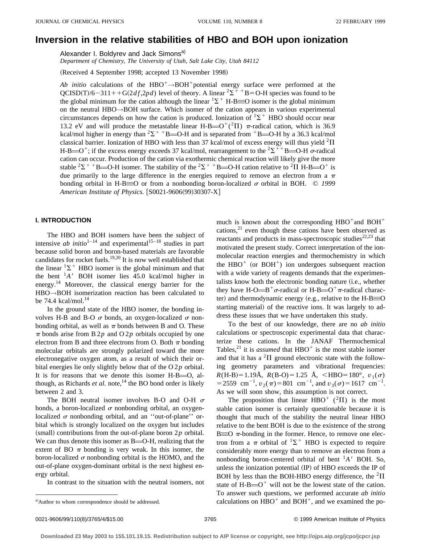# **Inversion in the relative stabilities of HBO and BOH upon ionization**

Alexander I. Boldyrev and Jack Simons<sup>a)</sup>

*Department of Chemistry, The University of Utah, Salt Lake City, Utah 84112*

(Received 4 September 1998; accepted 13 November 1998)

*Ab initio* calculations of the  $HBO^+ \rightarrow BOH^+$ potential energy surface were performed at the  $QCISD(T)/6-311++G(2df,2pd)$  level of theory. A linear <sup>2</sup> $\Sigma$ <sup>++</sup>B=O-H species was found to be the global minimum for the cation although the linear  ${}^{1}\Sigma^{+}$  H-B=O isomer is the global minimum on the neutral HBO→BOH surface. Which isomer of the cation appears in various experimental circumstances depends on how the cation is produced. Ionization of  ${}^{1}\Sigma^{+}$  HBO should occur near 13.2 eV and will produce the metastable linear H-B= $O^+(^2\Pi)$   $\pi$ -radical cation, which is 36.9 kcal/mol higher in energy than <sup>2</sup> $\Sigma$ <sup>++</sup>B=O-H and is separated from <sup>+</sup>B=O-H by a 36.3 kcal/mol classical barrier. Ionization of HBO with less than 37 kcal/mol of excess energy will thus yield  ${}^{2}$ II H-B=O<sup>+</sup>; if the excess energy exceeds 37 kcal/mol, rearrangement to the <sup>2</sup> $\Sigma$ <sup>++</sup>B=O-H  $\sigma$ -radical cation can occur. Production of the cation via exothermic chemical reaction will likely give the more stable <sup>2</sup> $\Sigma$ <sup>++</sup>B=O-H isomer. The stability of the <sup>2</sup> $\Sigma$ <sup>++</sup>B=O-H cation relative to <sup>2</sup> $\Pi$  H-B=O<sup>+</sup> is due primarily to the large difference in the energies required to remove an electron from a  $\pi$ bonding orbital in H-B $\equiv$ O or from a nonbonding boron-localized  $\sigma$  orbital in BOH.  $\circ$  1999 *American Institute of Physics.* [S0021-9606(99)30307-X]

# **I. INTRODUCTION**

The HBO and BOH isomers have been the subject of intensive  $ab$  initio<sup>1–14</sup> and experimental<sup>15–18</sup> studies in part because solid boron and boron-based materials are favorable candidates for rocket fuels.19,20 It is now well established that the linear  ${}^{1}\Sigma^{+}$  HBO isomer is the global minimum and that the bent  ${}^{1}A'$  BOH isomer lies 45.0 kcal/mol higher in energy.<sup>14</sup> Moreover, the classical energy barrier for the HBO→BOH isomerization reaction has been calculated to be 74.4 kcal/mol. $^{14}$ 

In the ground state of the HBO isomer, the bonding involves H-B and B-O  $\sigma$  bonds, an oxygen-localized  $\sigma$  nonbonding orbital, as well as  $\pi$  bonds between B and O. These  $\pi$  bonds arise from B 2*p* and O 2*p* orbitals occupied by one electron from B and three electrons from O. Both  $\pi$  bonding molecular orbitals are strongly polarized toward the more electronegative oxygen atom, as a result of which their orbital energies lie only slightly below that of the O 2*p* orbital. It is for reasons that we denote this isomer  $H-B=O$ , although, as Richards *et al.* note,<sup>14</sup> the BO bond order is likely between 2 and 3.

The BOH neutral isomer involves B-O and O-H  $\sigma$ bonds, a boron-localized  $\sigma$  nonbonding orbital, an oxygenlocalized  $\sigma$  nonbonding orbital, and an "out-of-plane" orbital which is strongly localized on the oxygen but includes  $(small)$  contributions from the out-of-plane boron  $2p$  orbital. We can thus denote this isomer as  $B=O-H$ , realizing that the extent of BO  $\pi$  bonding is very weak. In this isomer, the boron-localized  $\sigma$  nonbonding orbital is the HOMO, and the out-of-plane oxygen-dominant orbital is the next highest energy orbital.

In contrast to the situation with the neutral isomers, not

much is known about the corresponding  $HBO^+$  and  $BOH^+$ cations, $21$  even though these cations have been observed as reactants and products in mass-spectroscopic studies $22,23$  that motivated the present study. Correct interpretation of the ionmolecular reaction energies and thermochemistry in which the  $HBO<sup>+</sup>$  (or  $BOH<sup>+</sup>$ ) ion undergoes subsequent reaction with a wide variety of reagents demands that the experimentalists know both the electronic bonding nature (i.e., whether they have H-O $\equiv B^+\sigma$ -radical or H-B $\equiv O^+\pi$ -radical character) and thermodynamic energy (e.g., relative to the  $H-B\equiv 0$ starting material) of the reactive ions. It was largely to address these issues that we have undertaken this study.

To the best of our knowledge, there are no *ab initio* calculations or spectroscopic experimental data that characterize these cations. In the JANAF Thermochemical Tables,<sup>21</sup> it is *assumed* that  $HBO^+$  is the most stable isomer and that it has a  ${}^{2}\Pi$  ground electronic state with the following geometry parameters and vibrational frequencies:  $R(H-B)=1.19\text{\AA}$ ,  $R(B-O)=1.25 \text{ \AA}$ , <HBO=180°,  $v_1(\sigma)$ = 2559 cm<sup>-1</sup>,  $v_2(\pi)$ = 801 cm<sup>-1</sup>, and  $v_3(\sigma)$ = 1617 cm<sup>-1</sup>. As we will soon show, this assumption is not correct.

The proposition that linear HBO<sup>+</sup> (<sup>2</sup> $\Pi$ ) is the most stable cation isomer is certainly questionable because it is thought that much of the stability the neutral linear HBO relative to the bent BOH is due to the existence of the strong  $B \equiv 0$   $\pi$ -bonding in the former. Hence, to remove one electron from a  $\pi$  orbital of <sup>1</sup> $\Sigma$ <sup>+</sup> HBO is expected to require considerably more energy than to remove an electron from a nonbonding boron-centered orbital of bent  ${}^{1}A'$  BOH. So, unless the ionization potential  $(IP)$  of HBO exceeds the IP of BOH by less than the BOH-HBO energy difference, the  ${}^{2}\Pi$ state of H-B $=$ O<sup>+</sup> will not be the lowest state of the cation. To answer such questions, we performed accurate *ab initio* calculations on  $HBO<sup>+</sup>$  and  $BOH<sup>+</sup>$ , and we examined the po-

a)Author to whom correspondence should be addressed.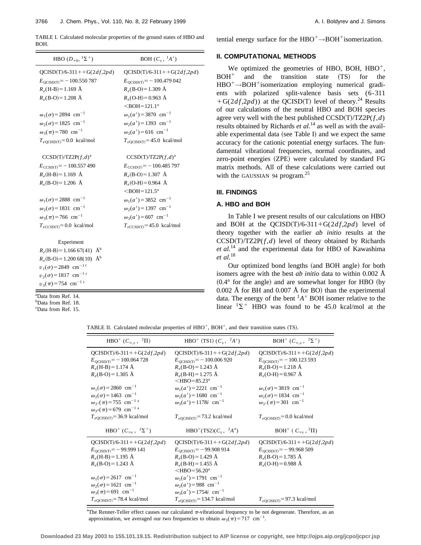TABLE I. Calculated molecular properties of the ground states of HBO and BOH.

| HBO $(D_{\infty h}, {}^{1}\Sigma^{+})$                                                                                                                                                                                                                                              | BOH $(C_s, \, {}^1A')$                                                                                                                                                                                                                                                                                           |
|-------------------------------------------------------------------------------------------------------------------------------------------------------------------------------------------------------------------------------------------------------------------------------------|------------------------------------------------------------------------------------------------------------------------------------------------------------------------------------------------------------------------------------------------------------------------------------------------------------------|
| $QCISD(T)/6-311++G(2df,2pd)$                                                                                                                                                                                                                                                        | $QCISD(T)/6-311++G(2df,2pd)$                                                                                                                                                                                                                                                                                     |
| $E_{\text{OCISD(T)}} = -100.550787$                                                                                                                                                                                                                                                 | $E_{\text{QCISD(T)}} = -100.479042$                                                                                                                                                                                                                                                                              |
| $R_e$ (H-B) = 1.169 Å                                                                                                                                                                                                                                                               | $R_e(B-O) = 1.309 \text{ Å}$                                                                                                                                                                                                                                                                                     |
| $R_e(B-O) = 1.208$ Å                                                                                                                                                                                                                                                                | $R_e$ (O-H)=0.963 Å                                                                                                                                                                                                                                                                                              |
|                                                                                                                                                                                                                                                                                     | $<$ BOH=121.1 $^{\circ}$                                                                                                                                                                                                                                                                                         |
| $\omega_1(\sigma) = 2894$ cm <sup>-1</sup>                                                                                                                                                                                                                                          | $\omega_1(a') = 3870 \text{ cm}^{-1}$                                                                                                                                                                                                                                                                            |
| $\omega_2(\sigma) = 1825$ cm <sup>-1</sup>                                                                                                                                                                                                                                          | $\omega_2(a') = 1393$ cm <sup>-1</sup>                                                                                                                                                                                                                                                                           |
| $\omega_3(\pi)$ = 780 cm <sup>-1</sup>                                                                                                                                                                                                                                              | $\omega_3(a') = 616$ cm <sup>-1</sup>                                                                                                                                                                                                                                                                            |
| $T_{eQCISD(T)} = 0.0$ kcal/mol                                                                                                                                                                                                                                                      | $T_{eQCISD(T)} = 45.0$ kcal/mol                                                                                                                                                                                                                                                                                  |
| $CCSD(T)/TZ2P(f,d)^{a}$<br>$E_{\text{CCSD(T)}} = -100.557490$<br>$R_e(H-B) = 1.169$ Å<br>$R_e(B-O) = 1.206$ Å<br>$\omega_1(\sigma) = 2888$ cm <sup>-1</sup><br>$\omega_2(\sigma) = 1831 \text{ cm}^{-1}$<br>$\omega_3(\pi)$ = 766 cm <sup>-1</sup><br>$T_{eCCSD(T)} = 0.0$ kcal/mol | $CCSD(T)/TZ2P(f,d)^{a}$<br>$E_{\text{CCSD(T)}} = -100.485797$<br>$R_e(B-O) = 1.307 \text{ Å}$<br>$R_e(O-H) = 0.964$ Å<br>$<$ BOH=121.5 $^{\circ}$<br>$\omega_1(a') = 3852$ cm <sup>-1</sup><br>$\omega_2(a') = 1397$ cm <sup>-1</sup><br>$\omega_3(a') = 607$ cm <sup>-1</sup><br>$T_{eCCSD(T)} = 45.0$ kcal/mol |
| Experiment<br>$R_e$ (H-B) = 1.166 67(41) Å <sup>b</sup><br>$R_e(B-O) = 1.20068(10)$ Å <sup>b</sup><br>$v_1(\sigma) = 2849$ cm <sup>-1 c</sup><br>$v_2(\sigma) = 1817$ cm <sup>-1 c</sup><br>$v_3(\pi)$ = 754 cm <sup>-1 c</sup>                                                     |                                                                                                                                                                                                                                                                                                                  |

a Data from Ref. 14.

b Data from Ref. 18.

c Data from Ref. 15.

tential energy surface for the  $HBO^+\rightarrow BOH^+$ isomerization.

## **II. COMPUTATIONAL METHODS**

We optimized the geometries of HBO, BOH,  $HBO<sup>+</sup>$ ,  $BOH<sup>+</sup>$  and the transition state  $(TS)$  for the  $HBO^+\rightarrow BOH^+$ isomerization employing numerical gradients with polarized split-valence basis sets (6-311  $+G(2df,2pd)$  at the QCISD(T) level of theory.<sup>24</sup> Results of our calculations of the neutral HBO and BOH species agree very well with the best published  $CCSD(T)/TZ2P(f, d)$ results obtained by Richards *et al.*<sup>14</sup> as well as with the available experimental data (see Table I) and we expect the same accuracy for the cationic potential energy surfaces. The fundamental vibrational frequencies, normal coordinates, and zero-point energies (ZPE) were calculated by standard FG matrix methods. All of these calculations were carried out with the GAUSSIAN 94 program.<sup>25</sup>

#### **III. FINDINGS**

# **A. HBO and BOH**

In Table I we present results of our calculations on HBO and BOH at the QCISD(T)/6-311+G( $2df$ , $2pd$ ) level of theory together with the earlier *ab initio* results at the  $CCSD(T)/TZ2P(f,d)$  level of theory obtained by Richards *et al.*<sup>14</sup> and the experimental data for HBO of Kawashima *et al.*<sup>18</sup>

Our optimized bond lengths (and BOH angle) for both isomers agree with the best *ab initio* data to within 0.002 Å  $(0.4°$  for the angle) and are somewhat longer for HBO (by  $0.002$  Å for BH and  $0.007$  Å for BO) than the experimental data. The energy of the bent  ${}^{1}A'$  BOH isomer relative to the linear  $1\Sigma^+$  HBO was found to be 45.0 kcal/mol at the

TABLE II. Calculated molecular properties of  $HBO^+$ ,  $BOH^+$ , and their transition states (TS).

| $HBO^+(C_{\infty,v}, {}^2\Pi)$                              | HBO <sup>+</sup> (TS1) $(C_s, \ {}^2A')$         | BOH <sup>+</sup> $(C_{\infty,n}, 2\Sigma^+)$       |
|-------------------------------------------------------------|--------------------------------------------------|----------------------------------------------------|
| $QCISD(T)/6-311++G(2df,2pd)$                                | $QCISD(T)/6-311++G(2df,2pd)$                     | $QCISD(T)/6-311++G(2df,2pd)$                       |
| $E_{\text{QCISD(T)}} = -100.064728$                         | $E_{\text{OCISD(T)}} = -100.006920$              | $E_{\text{OCISD(T)}} = -100.123593$                |
| $R_e$ (H-B) = 1.174 Å                                       | $R_e(B-O) = 1.243$ Å                             | $R_e(B-O) = 1.218$ Å                               |
| $R_e(B-O) = 1.305$ Å                                        | $R_e(B-H) = 1.275 \text{ Å}$                     | $R_e$ (O-H) = 0.967 Å                              |
|                                                             | $<$ HBO=85.23 $^{\circ}$                         |                                                    |
| $\omega_1(\sigma) = 2860 \text{ cm}^{-1}$                   | $\omega_1(a') = 2221$ cm <sup>-1</sup>           | $\omega_1(\sigma) = 3819$ cm <sup>-1</sup>         |
| $\omega_2(\sigma) = 1463$ cm <sup>-1</sup>                  | $\omega_2(a') = 1680 \text{ cm}^{-1}$            | $\omega_2(\sigma) = 1834 \text{ cm}^{-1}$          |
| $\omega_{3'}(\pi)$ = 755 cm <sup>-1 a</sup>                 | $\omega_3(a') = 1178i$ cm <sup>-1</sup>          | $\omega_{3'}(\pi)$ = 301 cm <sup>-1</sup>          |
| $\omega_{3''}(\pi)$ = 679 cm <sup>-1 a</sup>                |                                                  |                                                    |
| $T_{eQCISD(T)}$ =36.9 kcal/mol                              | $T_{eOCISD(T)}$ =73.2 kcal/mol                   | $T_{eOCISD(T)} = 0.0$ kcal/mol                     |
| HBO <sup>+</sup> ( $C_{\infty}$ , $^2\Sigma$ <sup>+</sup> ) | HBO <sup>+</sup> (TS2)( $C_s$ , <sup>2</sup> A") | BOH <sup>+</sup> ( $C_{\infty}$ , <sup>2</sup> II) |
| $QCISD(T)/6-311++G(2df,2pd)$                                | $QCISD(T)/6-311++G(2df,2pd)$                     | $QCISD(T)/6-311++G(2df,2pd)$                       |
| $E_{\text{QCISD(T)}} = -99.999141$                          | $E_{\text{OCISD(T)}} = -99.908914$               | $E_{\text{QCISD(T)}} = -99.968509$                 |
| $R_e$ (H-B) = 1.195 Å                                       | $R_e(B-O) = 1.429 \text{ Å}$                     | $R_e(B-O) = 1.785$ Å                               |
| $R_e(B-O) = 1.243 \text{ Å}$                                | $R_e(B-H) = 1.455 \text{ Å}$                     | $R_e$ (O-H) = 0.988 Å                              |
|                                                             | $<$ HBO=56.20 $^{\circ}$                         |                                                    |
| $\omega_1(\sigma) = 2617$ cm <sup>-1</sup>                  | $\omega_1(a') = 1791 \text{ cm}^{-1}$            |                                                    |
| $\omega_2(\sigma) = 1621$ cm <sup>-1</sup>                  | $\omega_2(a') = 988$ cm <sup>-1</sup>            |                                                    |
| $\omega_3(\pi)$ = 691 cm <sup>-1</sup>                      | $\omega_3(a') = 1754i$ cm <sup>-1</sup>          |                                                    |
| $T_{eQCISD(T)}$ =78.4 kcal/mol                              | $T_{eQCISD(T)} = 134.7$ kcal/mol                 | $T_{eQCISD(T)} = 97.3$ kcal/mol                    |

<sup>a</sup>The Renner-Teller effect causes our calculated  $\pi$ -vibrational frequency to be not degenerate. Therefore, as an approximation, we averaged our two frequencies to obtain  $\omega_3(\pi)=717$  cm<sup>-1</sup>.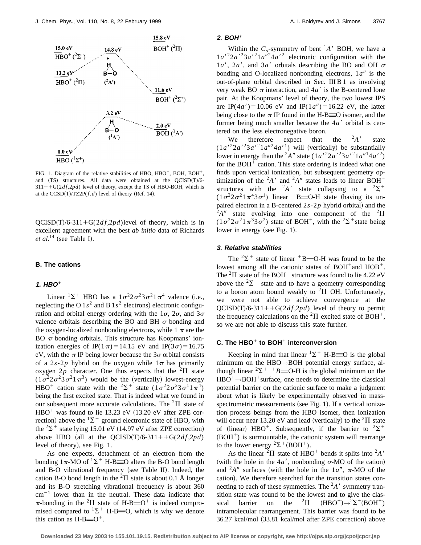

FIG. 1. Diagram of the relative stabilities of HBO, HBO<sup>+</sup>, BOH, BOH<sup>+</sup>, and  $(TS)$  structures. All data were obtained at the  $QCISD(T)/6 311++G(2df,2pd)$  level of theory, except the TS of HBO-BOH, which is at the  $CCSD(T)/TZ2P(f,d)$  level of theory (Ref. 14).

 $QCISD(T)/6-311+G(2df,2pd)$  level of theory, which is in excellent agreement with the best *ab initio* data of Richards  $et$   $al.$ <sup>14</sup> (see Table I).

#### **B. The cations**

## $1.$  **HBO**<sup> $+$ </sup>

Linear  ${}^{1}\Sigma^{+}$  HBO has a  $1\sigma^{2}2\sigma^{2}3\sigma^{2}1\pi^{4}$  valence (i.e., neglecting the O  $1s^2$  and B  $1s^2$  electrons) electronic configuration and orbital energy ordering with the  $1\sigma$ ,  $2\sigma$ , and  $3\sigma$ valence orbitals describing the BO and BH  $\sigma$  bonding and the oxygen-localized nonbonding electrons, while  $1 \pi$  are the BO  $\pi$  bonding orbitals. This structure has Koopmans' ionization energies of IP(1 $\pi$ )=14.15 eV and IP(3 $\sigma$ )=16.75 eV, with the  $\pi$  IP being lower because the 3 $\sigma$  orbital consists of a 2*s*-2*p* hybrid on the oxygen while  $1\pi$  has primarily oxygen  $2p$  character. One thus expects that the <sup>2</sup> $\Pi$  state  $(1\sigma^2 2\sigma^2 3\sigma^2 1\pi^3)$  would be the (vertically) lowest-energy HBO<sup>+</sup> cation state with the <sup>2</sup> $\Sigma$ <sup>+</sup> state  $(1\sigma^2 2\sigma^2 3\sigma^1 1\pi^4)$ being the first excited state. That is indeed what we found in our subsequent more accurate calculations. The  ${}^{2}$  $\Pi$  state of  $HBO<sup>+</sup>$  was found to lie 13.23 eV (13.20 eV after ZPE correction) above the  ${}^{1}\Sigma^{+}$  ground electronic state of HBO, with the  ${}^{2}\Sigma^{+}$  state lying 15.01 eV (14.97 eV after ZPE correction) above HBO (all at the  $QCISD(T)/6-311++G(2df,2pd)$ level of theory), see Fig. 1.

As one expects, detachment of an electron from the bonding  $1\pi$ -MO of  $^1\Sigma$ <sup>+</sup> H-B=O alters the B-O bond length and B-O vibrational frequency (see Table II). Indeed, the cation B-O bond length in the  ${}^{2}\Pi$  state is about 0.1 Å longer and its B-O stretching vibrational frequency is about 360  $cm^{-1}$  lower than in the neutral. These data indicate that  $\pi$ -bonding in the <sup>2</sup>II state of H-B= $O^+$  is indeed compromised compared to  ${}^{1}\Sigma^{+}$  H-B=O, which is why we denote this cation as  $H-B=O^+$ .

### **2. BOH**<sup>+</sup>

Within the  $C_s$ -symmetry of bent <sup>1</sup>A' BOH, we have a  $1a^{2}$  $2a^{2}$  $3a^{2}$  $1a^{2}$  $4a^{2}$  electronic configuration with the  $1a'$ ,  $2a'$ , and  $3a'$  orbitals describing the BO and OH  $\sigma$ bonding and O-localized nonbonding electrons,  $1a''$  is the out-of-plane orbital described in Sec. III B 1 as involving very weak BO  $\pi$  interaction, and 4*a*<sup> $\prime$ </sup> is the B-centered lone pair. At the Koopmans' level of theory, the two lowest IPS are IP(4*a'*)=10.06 eV and IP(1*a''*)=16.22 eV, the latter being close to the  $\pi$  IP found in the H-B=O isomer, and the former being much smaller because the  $4a<sup>7</sup>$  orbital is centered on the less electronegative boron.

We therefore expect that the  ${}^{2}A'$  state  $(1a^{2}2a^{2}3a^{2}1a^{2}4a^{1})$  will (vertically) be substantially lower in energy than the <sup>2</sup>A<sup>n</sup> state  $(1a^{2}2a^{2}3a^{2}1a^{n}4a^{2})$ for the  $BOH<sup>+</sup>$  cation. This state ordering is indeed what one finds upon vertical ionization, but subsequent geometry optimization of the  ${}^2A'$  and  ${}^2A''$  states leads to linear BOH<sup>+</sup> structures with the <sup>2</sup>A' state collapsing to a <sup>2</sup> $\Sigma$ <sup>+</sup>  $(1\sigma^2 2\sigma^2 1\pi^4 3\sigma^1)$  linear <sup>+</sup>B=O-H state (having its unpaired electron in a B-centered  $2s-2p$  hybrid orbital) and the  ${}^{2}A''$  state evolving into one component of the  ${}^{2}\Pi$  $(1\sigma^2 2\sigma^2 1\pi^3 3\sigma^2)$  state of BOH<sup>+</sup>, with the <sup>2</sup> $\Sigma$ <sup>+</sup> state being lower in energy (see Fig. 1).

## **3. Relative stabilities**

The  ${}^{2}\Sigma^{+}$  state of linear  ${}^{+}$ B=O-H was found to be the lowest among all the cationic states of  $BOH^+$  and  $HOB^+$ . The  ${}^{2}$ II state of the BOH<sup>+</sup> structure was found to lie 4.22 eV above the  $2\Sigma^+$  state and to have a geometry corresponding to a boron atom bound weakly to  ${}^{2}\Pi$  OH. Unfortunately, we were not able to achieve convergence at the  $QCISD(T)/6-311++G(2df,2pd)$  level of theory to permit the frequency calculations on the  ${}^{2}\Pi$  excited state of BOH<sup>+</sup>, so we are not able to discuss this state further.

# **C.** The HBO<sup>+</sup> to BOH<sup>+</sup> interconversion

Keeping in mind that linear  ${}^{1}\Sigma^{+}$  H-B=O is the global minimum on the HBO→BOH potential energy surface, although linear  ${}^{2}\Sigma^{+}$  <sup>+</sup>B=O-H is the global minimum on the  $HBO^+\rightarrow BOH^+$ surface, one needs to determine the classical potential barrier on the cationic surface to make a judgment about what is likely be experimentally observed in massspectrometric measurements (see Fig. 1). If a vertical ionization process beings from the HBO isomer, then ionization will occur near 13.20 eV and lead (vertically) to the  ${}^{2}$  $\Pi$  state of (linear) HBO<sup>+</sup>. Subsequently, if the barrier to <sup>2</sup> $\Sigma$ <sup>+</sup>  $(BOH<sup>+</sup>)$  is surmountable, the cationic system will rearrange to the lower energy  ${}^{2}\Sigma^{+}(\text{BOH}^{+})$ .

As the linear <sup>2</sup> $\Pi$  state of HBO<sup>+</sup> bends it splits into <sup>2</sup>*A'* (with the hole in the  $4a'$ , nonbonding  $\sigma$ -MO of the cation) and  ${}^{2}A''$  surfaces (with the hole in the 1*a*<sup>n</sup>,  $\pi$ -MO of the cation). We therefore searched for the transition states connecting to each of these symmetries. The  ${}^{2}A'$  symmetry transition state was found to be the lowest and to give the classical barrier on the <sup>2</sup> $\Pi$   $(HBO^+) \rightarrow ^2$  $(HBO^+) \rightarrow ^2\Sigma^+(BOH^+)$ intramolecular rearrangement. This barrier was found to be 36.27 kcal/mol (33.81 kcal/mol after ZPE correction) above